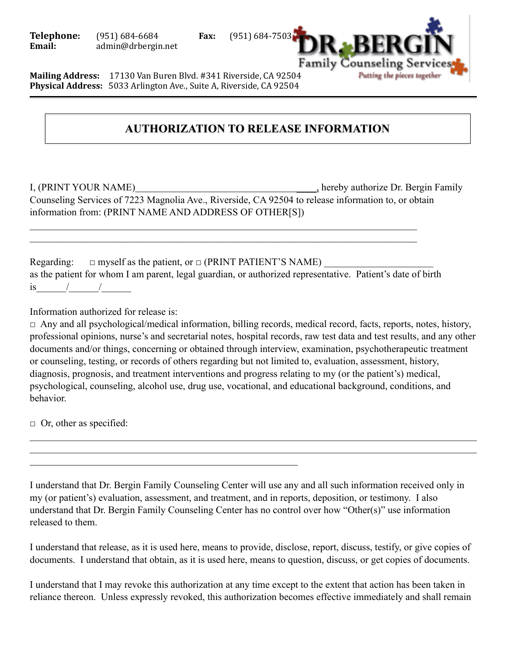**Telephone:** (951) 684-6684 **Fax:** (951) 684-7503 **Email:** admin@drbergin.net



**Mailing Address:** 17130 Van Buren Blvd. #341 Riverside, CA 92504 **Physical Address:** 5033 Arlington Ave., Suite A, Riverside, CA 92504

## $\sim$   $\sim$   $\sim$   $\sim$   $\sim$   $\sim$   $\sim$   $\sim$ **AUTHORIZATION TO RELEASE INFORMATION**

 $\mathcal{L}_\text{max}$  , and the contract of the contract of the contract of the contract of the contract of the contract of

I, (PRINT YOUR NAME) hereby authorize Dr. Bergin Family Counseling Services of 7223 Magnolia Ave., Riverside, CA 92504 to release information to, or obtain information from: (PRINT NAME AND ADDRESS OF OTHER[S])

Regarding:  $\Box$  myself as the patient, or  $\Box$  (PRINT PATIENT'S NAME) as the patient for whom I am parent, legal guardian, or authorized representative. Patient's date of birth is  $/$  /  $/$ 

 $\mathcal{L}_\mathcal{L} = \mathcal{L}_\mathcal{L} = \mathcal{L}_\mathcal{L} = \mathcal{L}_\mathcal{L} = \mathcal{L}_\mathcal{L} = \mathcal{L}_\mathcal{L} = \mathcal{L}_\mathcal{L} = \mathcal{L}_\mathcal{L} = \mathcal{L}_\mathcal{L} = \mathcal{L}_\mathcal{L} = \mathcal{L}_\mathcal{L} = \mathcal{L}_\mathcal{L} = \mathcal{L}_\mathcal{L} = \mathcal{L}_\mathcal{L} = \mathcal{L}_\mathcal{L} = \mathcal{L}_\mathcal{L} = \mathcal{L}_\mathcal{L}$  $\mathcal{L}_\mathcal{L} = \mathcal{L}_\mathcal{L} = \mathcal{L}_\mathcal{L} = \mathcal{L}_\mathcal{L} = \mathcal{L}_\mathcal{L} = \mathcal{L}_\mathcal{L} = \mathcal{L}_\mathcal{L} = \mathcal{L}_\mathcal{L} = \mathcal{L}_\mathcal{L} = \mathcal{L}_\mathcal{L} = \mathcal{L}_\mathcal{L} = \mathcal{L}_\mathcal{L} = \mathcal{L}_\mathcal{L} = \mathcal{L}_\mathcal{L} = \mathcal{L}_\mathcal{L} = \mathcal{L}_\mathcal{L} = \mathcal{L}_\mathcal{L}$ 

Information authorized for release is:

 $\Box$  Any and all psychological/medical information, billing records, medical record, facts, reports, notes, history, professional opinions, nurse's and secretarial notes, hospital records, raw test data and test results, and any other documents and/or things, concerning or obtained through interview, examination, psychotherapeutic treatment or counseling, testing, or records of others regarding but not limited to, evaluation, assessment, history, diagnosis, prognosis, and treatment interventions and progress relating to my (or the patient's) medical, psychological, counseling, alcohol use, drug use, vocational, and educational background, conditions, and behavior.

 $\mathcal{L}_\mathcal{L} = \mathcal{L}_\mathcal{L} = \mathcal{L}_\mathcal{L} = \mathcal{L}_\mathcal{L} = \mathcal{L}_\mathcal{L} = \mathcal{L}_\mathcal{L} = \mathcal{L}_\mathcal{L} = \mathcal{L}_\mathcal{L} = \mathcal{L}_\mathcal{L} = \mathcal{L}_\mathcal{L} = \mathcal{L}_\mathcal{L} = \mathcal{L}_\mathcal{L} = \mathcal{L}_\mathcal{L} = \mathcal{L}_\mathcal{L} = \mathcal{L}_\mathcal{L} = \mathcal{L}_\mathcal{L} = \mathcal{L}_\mathcal{L}$  $\mathcal{L}_\mathcal{L} = \mathcal{L}_\mathcal{L} = \mathcal{L}_\mathcal{L} = \mathcal{L}_\mathcal{L} = \mathcal{L}_\mathcal{L} = \mathcal{L}_\mathcal{L} = \mathcal{L}_\mathcal{L} = \mathcal{L}_\mathcal{L} = \mathcal{L}_\mathcal{L} = \mathcal{L}_\mathcal{L} = \mathcal{L}_\mathcal{L} = \mathcal{L}_\mathcal{L} = \mathcal{L}_\mathcal{L} = \mathcal{L}_\mathcal{L} = \mathcal{L}_\mathcal{L} = \mathcal{L}_\mathcal{L} = \mathcal{L}_\mathcal{L}$ 

 $\Box$  Or, other as specified:

I understand that Dr. Bergin Family Counseling Center will use any and all such information received only in my (or patient's) evaluation, assessment, and treatment, and in reports, deposition, or testimony. I also understand that Dr. Bergin Family Counseling Center has no control over how "Other(s)" use information released to them.

I understand that release, as it is used here, means to provide, disclose, report, discuss, testify, or give copies of documents. I understand that obtain, as it is used here, means to question, discuss, or get copies of documents.

I understand that I may revoke this authorization at any time except to the extent that action has been taken in reliance thereon. Unless expressly revoked, this authorization becomes effective immediately and shall remain